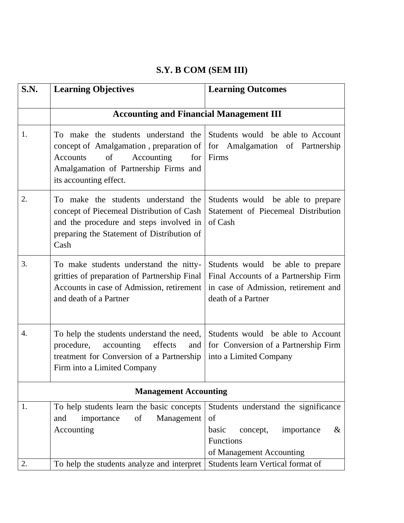## **S.Y. B COM (SEM III)**

| S.N. | <b>Learning Objectives</b>                                                                                                                                                               | <b>Learning Outcomes</b>                                                                                                                |  |
|------|------------------------------------------------------------------------------------------------------------------------------------------------------------------------------------------|-----------------------------------------------------------------------------------------------------------------------------------------|--|
|      | <b>Accounting and Financial Management III</b>                                                                                                                                           |                                                                                                                                         |  |
| 1.   | To make the students understand the<br>concept of Amalgamation, preparation of<br>of<br>Accounting<br>for<br>Accounts<br>Amalgamation of Partnership Firms and<br>its accounting effect. | Students would be able to Account<br>for Amalgamation of Partnership<br>Firms                                                           |  |
| 2.   | To make the students understand the<br>concept of Piecemeal Distribution of Cash<br>and the procedure and steps involved in<br>preparing the Statement of Distribution of<br>Cash        | Students would be able to prepare<br>Statement of Piecemeal Distribution<br>of Cash                                                     |  |
| 3.   | To make students understand the nitty-<br>gritties of preparation of Partnership Final<br>Accounts in case of Admission, retirement<br>and death of a Partner                            | Students would be able to prepare<br>Final Accounts of a Partnership Firm<br>in case of Admission, retirement and<br>death of a Partner |  |
| 4.   | To help the students understand the need,<br>procedure,<br>accounting<br>effects<br>and<br>treatment for Conversion of a Partnership<br>Firm into a Limited Company                      | Students would be able to Account<br>for Conversion of a Partnership Firm<br>into a Limited Company                                     |  |
|      | <b>Management Accounting</b>                                                                                                                                                             |                                                                                                                                         |  |
| 1.   | To help students learn the basic concepts<br>importance<br>of<br>Management<br>and<br>Accounting                                                                                         | Students understand the significance<br>of<br>basic<br>$\&$<br>importance<br>concept,<br>Functions<br>of Management Accounting          |  |
| 2.   | To help the students analyze and interpret                                                                                                                                               | Students learn Vertical format of                                                                                                       |  |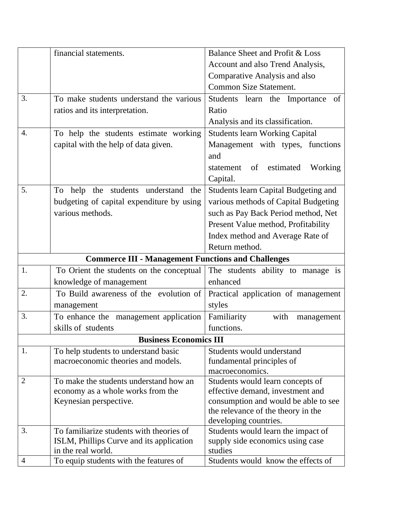|                  | financial statements.                                     | Balance Sheet and Profit & Loss                             |
|------------------|-----------------------------------------------------------|-------------------------------------------------------------|
|                  |                                                           | Account and also Trend Analysis,                            |
|                  |                                                           | Comparative Analysis and also                               |
|                  |                                                           | <b>Common Size Statement.</b>                               |
| 3.               | To make students understand the various                   | Students learn the Importance of                            |
|                  | ratios and its interpretation.                            | Ratio                                                       |
|                  |                                                           | Analysis and its classification.                            |
| $\overline{4}$ . | To help the students estimate working                     | <b>Students learn Working Capital</b>                       |
|                  | capital with the help of data given.                      | Management with types, functions                            |
|                  |                                                           | and                                                         |
|                  |                                                           | statement of estimated<br>Working                           |
|                  |                                                           | Capital.                                                    |
| 5.               | the students understand<br>To<br>help<br>the              | <b>Students learn Capital Budgeting and</b>                 |
|                  | budgeting of capital expenditure by using                 | various methods of Capital Budgeting                        |
|                  | various methods.                                          | such as Pay Back Period method, Net                         |
|                  |                                                           | Present Value method, Profitability                         |
|                  |                                                           | Index method and Average Rate of                            |
|                  |                                                           | Return method.                                              |
|                  | <b>Commerce III - Management Functions and Challenges</b> |                                                             |
| 1.               | To Orient the students on the conceptual                  | The students ability to manage is                           |
|                  | knowledge of management                                   | enhanced                                                    |
| 2.               | To Build awareness of the evolution of                    | Practical application of management                         |
|                  | management                                                | styles                                                      |
| 3.               | To enhance the management application                     | Familiarity<br>with<br>management                           |
|                  | skills of students                                        | functions.                                                  |
|                  | <b>Business Economics III</b>                             |                                                             |
| 1.               | To help students to understand basic                      | Students would understand                                   |
|                  | macroeconomic theories and models.                        | fundamental principles of                                   |
|                  |                                                           | macroeconomics.                                             |
| $\overline{2}$   | To make the students understand how an                    | Students would learn concepts of                            |
|                  | economy as a whole works from the                         | effective demand, investment and                            |
|                  | Keynesian perspective.                                    | consumption and would be able to see                        |
|                  |                                                           | the relevance of the theory in the<br>developing countries. |
| 3.               | To familiarize students with theories of                  | Students would learn the impact of                          |
|                  | ISLM, Phillips Curve and its application                  | supply side economics using case                            |
|                  | in the real world.                                        | studies                                                     |
| $\overline{4}$   | To equip students with the features of                    | Students would know the effects of                          |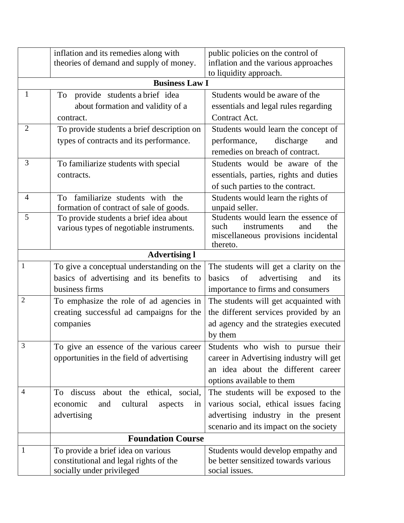|                | inflation and its remedies along with        | public policies on the control of                                        |  |  |
|----------------|----------------------------------------------|--------------------------------------------------------------------------|--|--|
|                | theories of demand and supply of money.      | inflation and the various approaches                                     |  |  |
|                |                                              | to liquidity approach.                                                   |  |  |
|                | <b>Business Law I</b>                        |                                                                          |  |  |
| $\mathbf{1}$   | provide students a brief idea<br>To          | Students would be aware of the                                           |  |  |
|                | about formation and validity of a            | essentials and legal rules regarding                                     |  |  |
|                | contract.                                    | Contract Act.                                                            |  |  |
| $\overline{2}$ | To provide students a brief description on   | Students would learn the concept of                                      |  |  |
|                | types of contracts and its performance.      | discharge<br>performance,<br>and                                         |  |  |
|                |                                              | remedies on breach of contract.                                          |  |  |
| 3              | To familiarize students with special         | Students would be aware of the                                           |  |  |
|                | contracts.                                   | essentials, parties, rights and duties                                   |  |  |
|                |                                              | of such parties to the contract.                                         |  |  |
| $\overline{4}$ | familiarize students with the<br>To          | Students would learn the rights of                                       |  |  |
|                | formation of contract of sale of goods.      | unpaid seller.                                                           |  |  |
| 5              | To provide students a brief idea about       | Students would learn the essence of                                      |  |  |
|                | various types of negotiable instruments.     | such<br>instruments<br>and<br>the<br>miscellaneous provisions incidental |  |  |
|                |                                              | thereto.                                                                 |  |  |
|                | <b>Advertising l</b>                         |                                                                          |  |  |
| 1              | To give a conceptual understanding on the    | The students will get a clarity on the                                   |  |  |
|                | basics of advertising and its benefits to    | $\circ$ of<br>advertising<br>basics<br>and<br>its                        |  |  |
|                | business firms                               | importance to firms and consumers                                        |  |  |
| $\overline{2}$ | To emphasize the role of ad agencies in      | The students will get acquainted with                                    |  |  |
|                | creating successful ad campaigns for the     | the different services provided by an                                    |  |  |
|                | companies                                    | ad agency and the strategies executed                                    |  |  |
|                |                                              | by them                                                                  |  |  |
| 3              | To give an essence of the various career     | Students who wish to pursue their                                        |  |  |
|                | opportunities in the field of advertising    | career in Advertising industry will get                                  |  |  |
|                |                                              | an idea about the different career                                       |  |  |
|                |                                              | options available to them                                                |  |  |
| $\overline{4}$ | about the ethical, social,<br>To<br>discuss  | The students will be exposed to the                                      |  |  |
|                | and<br>cultural<br>economic<br>aspects<br>1n | various social, ethical issues facing                                    |  |  |
|                | advertising                                  | advertising industry in the present                                      |  |  |
|                |                                              | scenario and its impact on the society                                   |  |  |
|                | <b>Foundation Course</b>                     |                                                                          |  |  |
| 1              | To provide a brief idea on various           | Students would develop empathy and                                       |  |  |
|                | constitutional and legal rights of the       | be better sensitized towards various                                     |  |  |
|                | socially under privileged                    | social issues.                                                           |  |  |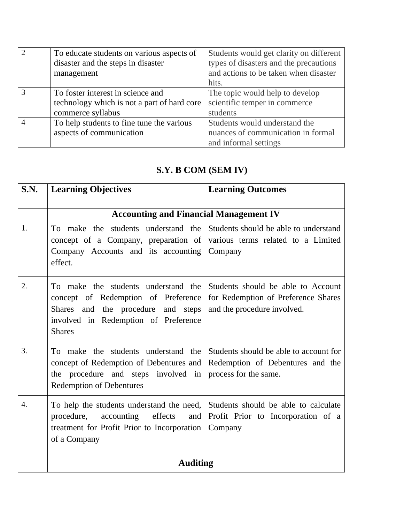| To educate students on various aspects of   | Students would get clarity on different |
|---------------------------------------------|-----------------------------------------|
| disaster and the steps in disaster          | types of disasters and the precautions  |
| management                                  | and actions to be taken when disaster   |
|                                             | hits.                                   |
| To foster interest in science and           | The topic would help to develop         |
| technology which is not a part of hard core | scientific temper in commerce           |
| commerce syllabus                           | students                                |
| To help students to fine tune the various   | Students would understand the           |
| aspects of communication                    | nuances of communication in formal      |
|                                             | and informal settings                   |

## **S.Y. B COM (SEM IV)**

| S.N.             | <b>Learning Objectives</b>                                                                                                                                                   | <b>Learning Outcomes</b>                                                                                 |
|------------------|------------------------------------------------------------------------------------------------------------------------------------------------------------------------------|----------------------------------------------------------------------------------------------------------|
|                  | <b>Accounting and Financial Management IV</b>                                                                                                                                |                                                                                                          |
| 1.               | To make the students understand the<br>concept of a Company, preparation of<br>Company Accounts and its accounting<br>effect.                                                | Students should be able to understand<br>various terms related to a Limited<br>Company                   |
| 2.               | To make the students understand the<br>concept of Redemption of Preference<br>Shares and the procedure<br>and steps<br>involved in Redemption of Preference<br><b>Shares</b> | Students should be able to Account<br>for Redemption of Preference Shares<br>and the procedure involved. |
| 3.               | To make the students understand the<br>concept of Redemption of Debentures and<br>the procedure and steps involved<br>in<br><b>Redemption of Debentures</b>                  | Students should be able to account for<br>Redemption of Debentures and the<br>process for the same.      |
| $\overline{4}$ . | To help the students understand the need,<br>effects<br>procedure,<br>accounting<br>and<br>treatment for Profit Prior to Incorporation<br>of a Company                       | Students should be able to calculate<br>Profit Prior to Incorporation of a<br>Company                    |
|                  | <b>Auditing</b>                                                                                                                                                              |                                                                                                          |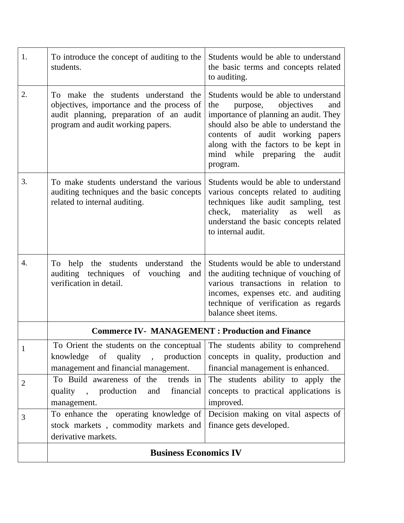|                | <b>Business Economics IV</b>                                                                                                                                     |                                                                                                                                                                                                                                                                                             |
|----------------|------------------------------------------------------------------------------------------------------------------------------------------------------------------|---------------------------------------------------------------------------------------------------------------------------------------------------------------------------------------------------------------------------------------------------------------------------------------------|
|                | derivative markets.                                                                                                                                              |                                                                                                                                                                                                                                                                                             |
|                | stock markets, commodity markets and                                                                                                                             | finance gets developed.                                                                                                                                                                                                                                                                     |
| 3              | To enhance the operating knowledge of                                                                                                                            | Decision making on vital aspects of                                                                                                                                                                                                                                                         |
|                | management.                                                                                                                                                      | improved.                                                                                                                                                                                                                                                                                   |
|                | quality, production<br>financial<br>and                                                                                                                          | concepts to practical applications is                                                                                                                                                                                                                                                       |
| $\overline{2}$ | To Build awareness of the<br>trends in                                                                                                                           | The students ability to apply the                                                                                                                                                                                                                                                           |
|                | management and financial management.                                                                                                                             | financial management is enhanced.                                                                                                                                                                                                                                                           |
|                | , production<br>knowledge<br>of<br>quality                                                                                                                       | concepts in quality, production and                                                                                                                                                                                                                                                         |
| $\mathbf{1}$   | To Orient the students on the conceptual The students ability to comprehend                                                                                      |                                                                                                                                                                                                                                                                                             |
|                | <b>Commerce IV- MANAGEMENT : Production and Finance</b>                                                                                                          |                                                                                                                                                                                                                                                                                             |
| 4.             | To help the students understand<br>the<br>auditing techniques of vouching<br>and<br>verification in detail.                                                      | Students would be able to understand<br>the auditing technique of vouching of<br>various transactions in relation to<br>incomes, expenses etc. and auditing<br>technique of verification as regards<br>balance sheet items.                                                                 |
| 3.             | To make students understand the various<br>auditing techniques and the basic concepts<br>related to internal auditing.                                           | Students would be able to understand<br>various concepts related to auditing<br>techniques like audit sampling, test<br>check, materiality<br>as<br>well<br>as<br>understand the basic concepts related<br>to internal audit.                                                               |
| 2.             | To make the students understand the<br>objectives, importance and the process of<br>audit planning, preparation of an audit<br>program and audit working papers. | Students would be able to understand<br>objectives<br>purpose,<br>and<br>the<br>importance of planning an audit. They<br>should also be able to understand the<br>contents of audit working papers<br>along with the factors to be kept in<br>mind while preparing<br>the audit<br>program. |
| 1.             | To introduce the concept of auditing to the<br>students.                                                                                                         | Students would be able to understand<br>the basic terms and concepts related<br>to auditing.                                                                                                                                                                                                |
|                |                                                                                                                                                                  |                                                                                                                                                                                                                                                                                             |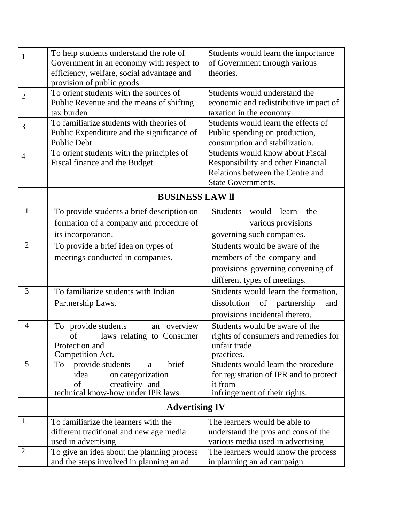| $\mathbf{1}$   | To help students understand the role of    | Students would learn the importance      |
|----------------|--------------------------------------------|------------------------------------------|
|                | Government in an economy with respect to   | of Government through various            |
|                | efficiency, welfare, social advantage and  | theories.                                |
|                | provision of public goods.                 |                                          |
| $\overline{2}$ | To orient students with the sources of     | Students would understand the            |
|                | Public Revenue and the means of shifting   | economic and redistributive impact of    |
|                | tax burden                                 | taxation in the economy                  |
| 3              | To familiarize students with theories of   | Students would learn the effects of      |
|                | Public Expenditure and the significance of | Public spending on production,           |
|                | <b>Public Debt</b>                         | consumption and stabilization.           |
| 4              | To orient students with the principles of  | Students would know about Fiscal         |
|                | Fiscal finance and the Budget.             | Responsibility and other Financial       |
|                |                                            | Relations between the Centre and         |
|                |                                            | <b>State Governments.</b>                |
|                | <b>BUSINESS LAW II</b>                     |                                          |
| 1              | To provide students a brief description on | <b>Students</b><br>would<br>learn<br>the |
|                | formation of a company and procedure of    | various provisions                       |
|                |                                            |                                          |
|                | its incorporation.                         | governing such companies.                |
| $\overline{2}$ | To provide a brief idea on types of        | Students would be aware of the           |
|                | meetings conducted in companies.           | members of the company and               |
|                |                                            | provisions governing convening of        |
|                |                                            | different types of meetings.             |
| 3              | To familiarize students with Indian        | Students would learn the formation,      |
|                | Partnership Laws.                          | dissolution of partnership<br>and        |
|                |                                            | provisions incidental thereto.           |
| $\overline{4}$ | an overview<br>To provide students         | Students would be aware of the           |
|                | of<br>laws relating to Consumer            | rights of consumers and remedies for     |
|                | Protection and                             | unfair trade                             |
|                | Competition Act.                           | practices.                               |
| 5              | brief<br>provide students<br>To<br>a       | Students would learn the procedure       |
|                | idea<br>on categorization                  | for registration of IPR and to protect   |
|                | of<br>creativity and                       | it from                                  |
|                | technical know-how under IPR laws.         | infringement of their rights.            |
|                | <b>Advertising IV</b>                      |                                          |
| 1.             | To familiarize the learners with the       | The learners would be able to            |
|                | different traditional and new age media    | understand the pros and cons of the      |
|                | used in advertising                        | various media used in advertising        |
| 2.             | To give an idea about the planning process | The learners would know the process      |
|                | and the steps involved in planning an ad   | in planning an ad campaign               |